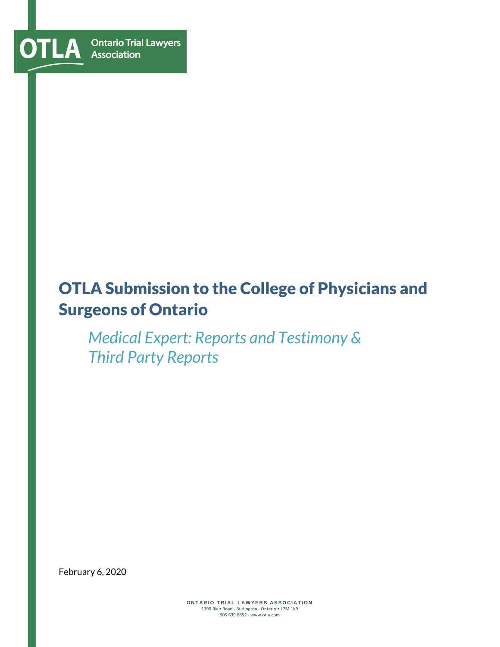

# OTLA Submission to the College of Physicians and Surgeons of Ontario

*Medical Expert: Reports and Testimony & Third Party Reports*

February 6, 2020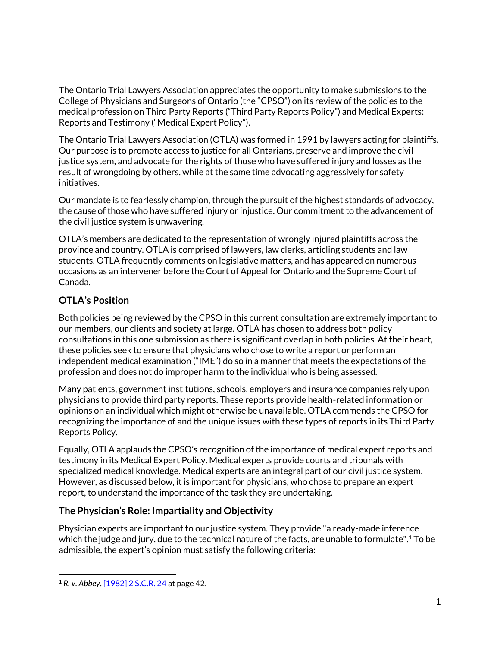The Ontario Trial Lawyers Association appreciates the opportunity to make submissions to the College of Physicians and Surgeons of Ontario (the "CPSO") on its review of the policies to the medical profession on Third Party Reports ("Third Party Reports Policy") and Medical Experts: Reports and Testimony ("Medical Expert Policy").

The Ontario Trial Lawyers Association (OTLA) was formed in 1991 by lawyers acting for plaintiffs. Our purpose is to promote access to justice for all Ontarians, preserve and improve the civil justice system, and advocate for the rights of those who have suffered injury and losses as the result of wrongdoing by others, while at the same time advocating aggressively for safety initiatives.

Our mandate is to fearlessly champion, through the pursuit of the highest standards of advocacy, the cause of those who have suffered injury or injustice. Our commitment to the advancement of the civil justice system is unwavering.

OTLA's members are dedicated to the representation of wrongly injured plaintiffs across the province and country. OTLA is comprised of lawyers, law clerks, articling students and law students. OTLA frequently comments on legislative matters, and has appeared on numerous occasions as an intervener before the Court of Appeal for Ontario and the Supreme Court of Canada.

# **OTLA's Position**

Both policies being reviewed by the CPSO in this current consultation are extremely important to our members, our clients and society at large. OTLA has chosen to address both policy consultations in this one submission as there is significant overlap in both policies. At their heart, these policies seek to ensure that physicians who chose to write a report or perform an independent medical examination ("IME") do so in a manner that meets the expectations of the profession and does not do improper harm to the individual who is being assessed.

Many patients, government institutions, schools, employers and insurance companies rely upon physicians to provide third party reports. These reports provide health-related information or opinions on an individual which might otherwise be unavailable. OTLA commends the CPSO for recognizing the importance of and the unique issues with these types of reports in its Third Party Reports Policy.

Equally, OTLA applauds the CPSO's recognition of the importance of medical expert reports and testimony in its Medical Expert Policy. Medical experts provide courts and tribunals with specialized medical knowledge. Medical experts are an integral part of our civil justice system. However, as discussed below, it is important for physicians, who chose to prepare an expert report, to understand the importance of the task they are undertaking.

## **The Physician's Role: Impartiality and Objectivity**

Physician experts are important to our justice system. They provide "a ready-made inference which the judge and jury, due to the technical nature of the facts, are unable to formulate".<sup>1</sup> To be admissible, the expert's opinion must satisfy the following criteria:

<sup>1</sup> *R. v. Abbey*[, \[1982\] 2 S.C.R. 24](https://scc-csc.lexum.com/scc-csc/scc-csc/en/item/2447/index.do) at page 42.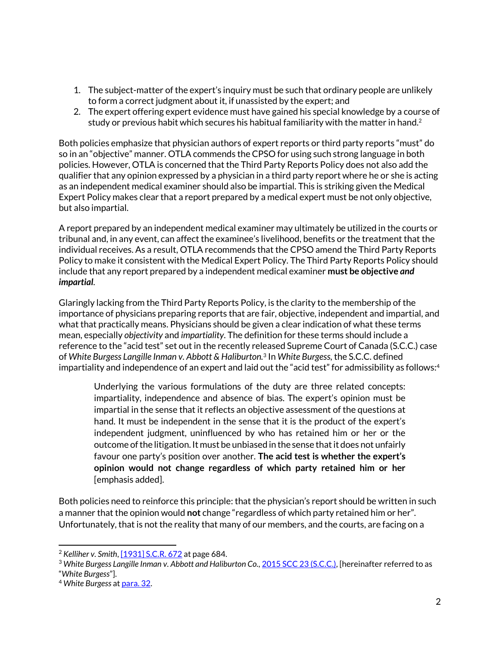- 1. The subject-matter of the expert's inquiry must be such that ordinary people are unlikely to form a correct judgment about it, if unassisted by the expert; and
- 2. The expert offering expert evidence must have gained his special knowledge by a course of study or previous habit which secures his habitual familiarity with the matter in hand.<sup>2</sup>

Both policies emphasize that physician authors of expert reports or third party reports "must" do so in an "objective" manner. OTLA commends the CPSO for using such strong language in both policies. However, OTLA is concerned that the Third Party Reports Policy does not also add the qualifier that any opinion expressed by a physician in a third party report where he or she is acting as an independent medical examiner should also be impartial. This is striking given the Medical Expert Policy makes clear that a report prepared by a medical expert must be not only objective, but also impartial.

A report prepared by an independent medical examiner may ultimately be utilized in the courts or tribunal and, in any event, can affect the examinee's livelihood, benefits or the treatment that the individual receives. As a result, OTLA recommends that the CPSO amend the Third Party Reports Policy to make it consistent with the Medical Expert Policy. The Third Party Reports Policy should include that any report prepared by a independent medical examiner **must be objective** *and impartial*.

Glaringly lacking from the Third Party Reports Policy, is the clarity to the membership of the importance of physicians preparing reports that are fair, objective, independent and impartial, and what that practically means. Physicians should be given a clear indication of what these terms mean, especially *objectivity* and *impartiality*. The definition for these terms should include a reference to the "acid test" set out in the recently released Supreme Court of Canada (S.C.C.) case of *White Burgess Langille Inman v. Abbott & Haliburton.* 3 In *White Burgess*, the S.C.C. defined impartiality and independence of an expert and laid out the "acid test" for admissibility as follows:<sup>4</sup>

Underlying the various formulations of the duty are three related concepts: impartiality, independence and absence of bias. The expert's opinion must be impartial in the sense that it reflects an objective assessment of the questions at hand. It must be independent in the sense that it is the product of the expert's independent judgment, uninfluenced by who has retained him or her or the outcome of the litigation. It must be unbiased in the sense that it does not unfairly favour one party's position over another. **The acid test is whether the expert's opinion would not change regardless of which party retained him or her** [emphasis added].

Both policies need to reinforce this principle: that the physician's report should be written in such a manner that the opinion would **not** change "regardless of which party retained him or her". Unfortunately, that is not the reality that many of our members, and the courts, are facing on a

<sup>2</sup> *Kelliher v. Smith*, [\[1931\] S.C.R. 672](https://decisions.scc-csc.ca/scc-csc/scc-csc/en/item/2767/index.do) at page 684.

<sup>3</sup> *White Burgess Langille Inman v. Abbott and Haliburton Co.*[, 2015 SCC 23](https://scc-csc.lexum.com/scc-csc/scc-csc/en/item/15328/index.do) (S.C.C.), [hereinafter referred to as "*White Burgess*"].

<sup>4</sup> *White Burgess* a[t para. 32.](https://scc-csc.lexum.com/scc-csc/scc-csc/en/item/15328/index.do)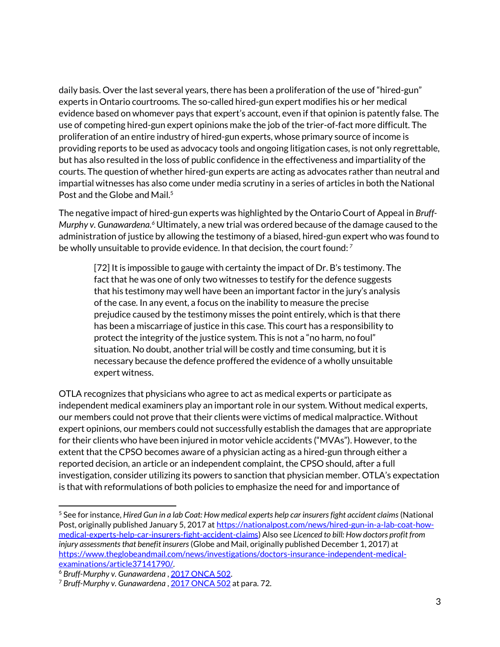daily basis. Over the last several years, there has been a proliferation of the use of "hired-gun" experts in Ontario courtrooms. The so-called hired-gun expert modifies his or her medical evidence based on whomever pays that expert's account, even if that opinion is patently false. The use of competing hired-gun expert opinions make the job of the trier-of-fact more difficult*.* The proliferation of an entire industry of hired-gun experts, whose primary source of income is providing reports to be used as advocacy tools and ongoing litigation cases, is not only regrettable, but has also resulted in the loss of public confidence in the effectiveness and impartiality of the courts. The question of whether hired-gun experts are acting as advocates rather than neutral and impartial witnesses has also come under media scrutiny in a series of articles in both the National Post and the Globe and Mail.<sup>5</sup>

The negative impact of hired-gun experts was highlighted by the Ontario Court of Appeal in *Bruff-*Murphy v. Gunawardena.<sup>6</sup> Ultimately, a new trial was ordered because of the damage caused to the administration of justice by allowing the testimony of a biased, hired-gun expert who was found to be wholly unsuitable to provide evidence. In that decision, the court found: *<sup>7</sup>*

[72] It is impossible to gauge with certainty the impact of Dr. B's testimony. The fact that he was one of only two witnesses to testify for the defence suggests that his testimony may well have been an important factor in the jury's analysis of the case. In any event, a focus on the inability to measure the precise prejudice caused by the testimony misses the point entirely, which is that there has been a miscarriage of justice in this case. This court has a responsibility to protect the integrity of the justice system. This is not a "no harm, no foul" situation. No doubt, another trial will be costly and time consuming, but it is necessary because the defence proffered the evidence of a wholly unsuitable expert witness.

OTLA recognizes that physicians who agree to act as medical experts or participate as independent medical examiners play an important role in our system. Without medical experts, our members could not prove that their clients were victims of medical malpractice. Without expert opinions, our members could not successfully establish the damages that are appropriate for their clients who have been injured in motor vehicle accidents ("MVAs"). However, to the extent that the CPSO becomes aware of a physician acting as a hired-gun through either a reported decision, an article or an independent complaint, the CPSO should, after a full investigation, consider utilizing its powers to sanction that physician member. OTLA's expectation is that with reformulations of both policies to emphasize the need for and importance of

<sup>5</sup> See for instance, *Hired Gun in a lab Coat: How medical experts help car insurers fight accident claims* (National Post, originally published January 5, 2017 a[t https://nationalpost.com/news/hired-gun-in-a-lab-coat-how](https://nationalpost.com/news/hired-gun-in-a-lab-coat-how-medical-experts-help-car-insurers-fight-accident-claims)[medical-experts-help-car-insurers-fight-accident-claims\)](https://nationalpost.com/news/hired-gun-in-a-lab-coat-how-medical-experts-help-car-insurers-fight-accident-claims) Also see *Licenced to bill: How doctors profit from injury assessments that benefit insurers* (Globe and Mail, originally published December 1, 2017) at [https://www.theglobeandmail.com/news/investigations/doctors-insurance-independent-medical](https://www.theglobeandmail.com/news/investigations/doctors-insurance-independent-medical-examinations/article37141790/)[examinations/article37141790/.](https://www.theglobeandmail.com/news/investigations/doctors-insurance-independent-medical-examinations/article37141790/)

<sup>6</sup> *Bruff-Murphy v. Gunawardena* [, 2017 ONCA 502.](https://www.canlii.org/en/on/onca/doc/2017/2017onca502/2017onca502.html?resultIndex=1)

<sup>7</sup> *Bruff-Murphy v. Gunawardena* [, 2017 ONCA 502](https://www.canlii.org/en/on/onca/doc/2017/2017onca502/2017onca502.html?resultIndex=1) at para. 72.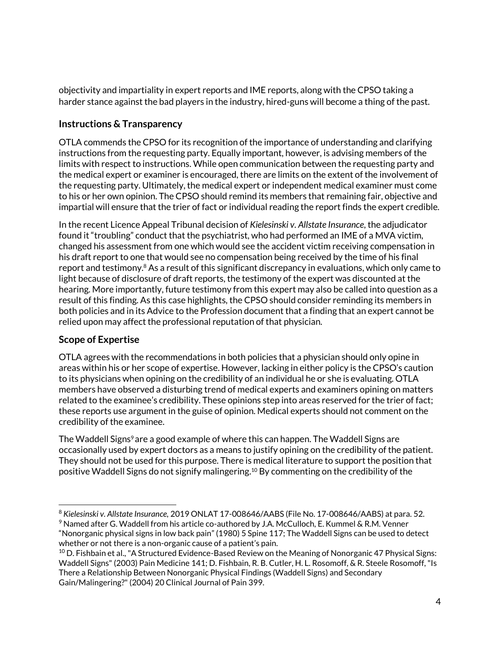objectivity and impartiality in expert reports and IME reports, along with the CPSO taking a harder stance against the bad players in the industry, hired-guns will become a thing of the past.

#### **Instructions & Transparency**

OTLA commends the CPSO for its recognition of the importance of understanding and clarifying instructions from the requesting party. Equally important, however, is advising members of the limits with respect to instructions. While open communication between the requesting party and the medical expert or examiner is encouraged, there are limits on the extent of the involvement of the requesting party. Ultimately, the medical expert or independent medical examiner must come to his or her own opinion. The CPSO should remind its members that remaining fair, objective and impartial will ensure that the trier of fact or individual reading the report finds the expert credible.

In the recent Licence Appeal Tribunal decision of *Kielesinski v. Allstate Insurance*, the adjudicator found it "troubling" conduct that the psychiatrist, who had performed an IME of a MVA victim, changed his assessment from one which would see the accident victim receiving compensation in his draft report to one that would see no compensation being received by the time of his final report and testimony.<sup>8</sup> As a result of this significant discrepancy in evaluations, which only came to light because of disclosure of draft reports, the testimony of the expert was discounted at the hearing. More importantly, future testimony from this expert may also be called into question as a result of this finding. As this case highlights, the CPSO should consider reminding its members in both policies and in its Advice to the Profession document that a finding that an expert cannot be relied upon may affect the professional reputation of that physician.

## **Scope of Expertise**

OTLA agrees with the recommendations in both policies that a physician should only opine in areas within his or her scope of expertise. However, lacking in either policy is the CPSO's caution to its physicians when opining on the credibility of an individual he or she is evaluating. OTLA members have observed a disturbing trend of medical experts and examiners opining on matters related to the examinee's credibility. These opinions step into areas reserved for the trier of fact; these reports use argument in the guise of opinion. Medical experts should not comment on the credibility of the examinee.

The Waddell Signs<sup>9</sup> are a good example of where this can happen. The Waddell Signs are occasionally used by expert doctors as a means to justify opining on the credibility of the patient. They should not be used for this purpose. There is medical literature to support the position that positive Waddell Signs do not signify malingering. <sup>10</sup> By commenting on the credibility of the

<sup>8</sup> *Kielesinski v. Allstate Insurance,* 2019 ONLAT 17-008646/AABS (File No. 17-008646/AABS) at para. 52.

<sup>&</sup>lt;sup>9</sup> Named after G. Waddell from his article co-authored by J.A. McCulloch, E. Kummel & R.M. Venner "Nonorganic physical signs in low back pain" (1980) 5 Spine 117; The Waddell Signs can be used to detect whether or not there is a non-organic cause of a patient's pain.

 $10$  D. Fishbain et al., "A Structured Evidence-Based Review on the Meaning of Nonorganic 47 Physical Signs: Waddell Signs" (2003) Pain Medicine 141; D. Fishbain, R. B. Cutler, H. L. Rosomoff, & R. Steele Rosomoff, "Is There a Relationship Between Nonorganic Physical Findings (Waddell Signs) and Secondary Gain/Malingering?" (2004) 20 Clinical Journal of Pain 399.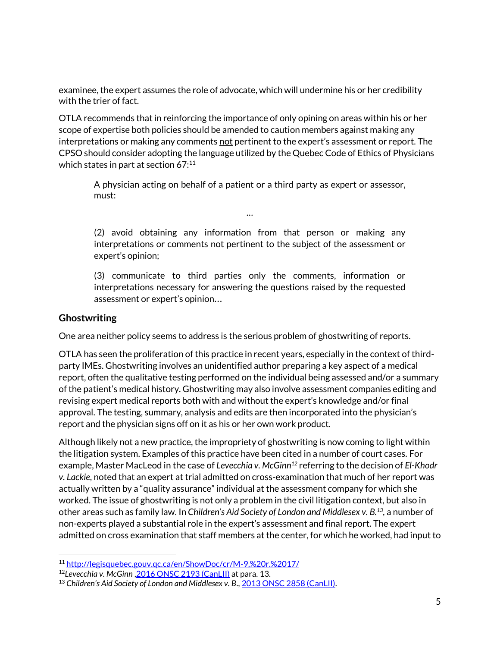examinee, the expert assumes the role of advocate, which will undermine his or her credibility with the trier of fact.

OTLA recommends that in reinforcing the importance of only opining on areas within his or her scope of expertise both policies should be amended to caution members against making any interpretations or making any comments not pertinent to the expert's assessment or report. The CPSO should consider adopting the language utilized by the Quebec Code of Ethics of Physicians which states in part at section  $67:11$ 

A physician acting on behalf of a patient or a third party as expert or assessor, must:

…

(2) avoid obtaining any information from that person or making any interpretations or comments not pertinent to the subject of the assessment or expert's opinion;

(3) communicate to third parties only the comments, information or interpretations necessary for answering the questions raised by the requested assessment or expert's opinion…

#### **Ghostwriting**

One area neither policy seems to address is the serious problem of ghostwriting of reports.

OTLA has seen the proliferation of this practice in recent years, especially in the context of thirdparty IMEs. Ghostwriting involves an unidentified author preparing a key aspect of a medical report, often the qualitative testing performed on the individual being assessed and/or a summary of the patient's medical history. Ghostwriting may also involve assessment companies editing and revising expert medical reports both with and without the expert's knowledge and/or final approval. The testing, summary, analysis and edits are then incorporated into the physician's report and the physician signs off on it as his or her own work product.

Although likely not a new practice, the impropriety of ghostwriting is now coming to light within the litigation system. Examples of this practice have been cited in a number of court cases. For example, Master MacLeod in the case of *Levecchia v. McGinn<sup>12</sup>* referring to the decision of *El-Khodr v. Lackie*, noted that an expert at trial admitted on cross-examination that much of her report was actually written by a "quality assurance" individual at the assessment company for which she worked. The issue of ghostwriting is not only a problem in the civil litigation context, but also in other areas such as family law. In *Children's Aid Society of London and Middlesex v. B.<sup>13</sup> ,* a number of non-experts played a substantial role in the expert's assessment and final report. The expert admitted on cross examination that staff members at the center, for which he worked, had input to

<sup>11</sup> <http://legisquebec.gouv.qc.ca/en/ShowDoc/cr/M-9,%20r.%2017/>

<sup>12</sup>*Levecchia v. McGinn* [,2016 ONSC 2193 \(CanLII\)](https://www.canlii.org/en/on/onsc/doc/2016/2016onsc2193/2016onsc2193.html?resultIndex=1) at para. 13.

<sup>&</sup>lt;sup>13</sup> Children's Aid Society of London and Middlesex v. B., **2013 ONSC 2858 (CanLII)**.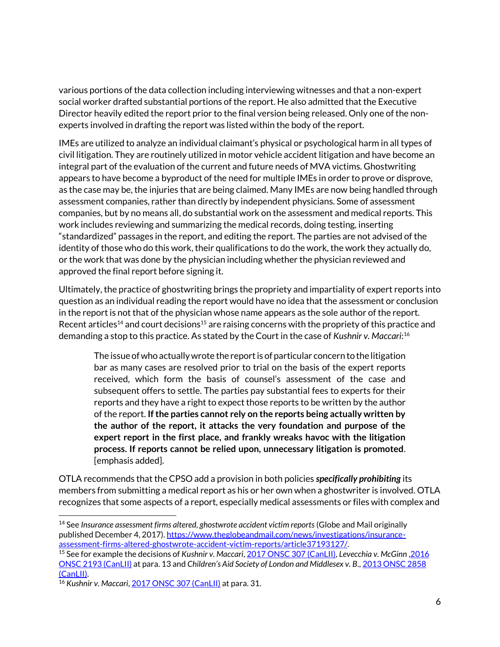various portions of the data collection including interviewing witnesses and that a non-expert social worker drafted substantial portions of the report. He also admitted that the Executive Director heavily edited the report prior to the final version being released. Only one of the nonexperts involved in drafting the report was listed within the body of the report.

IMEs are utilized to analyze an individual claimant's physical or psychological harm in all types of civil litigation. They are routinely utilized in motor vehicle accident litigation and have become an integral part of the evaluation of the current and future needs of MVA victims. Ghostwriting appears to have become a byproduct of the need for multiple IMEs in order to prove or disprove, as the case may be, the injuries that are being claimed. Many IMEs are now being handled through assessment companies, rather than directly by independent physicians. Some of assessment companies, but by no means all, do substantial work on the assessment and medical reports. This work includes reviewing and summarizing the medical records, doing testing, inserting "standardized" passages in the report, and editing the report. The parties are not advised of the identity of those who do this work, their qualifications to do the work, the work they actually do, or the work that was done by the physician including whether the physician reviewed and approved the final report before signing it.

Ultimately, the practice of ghostwriting brings the propriety and impartiality of expert reports into question as an individual reading the report would have no idea that the assessment or conclusion in the report is not that of the physician whose name appears as the sole author of the report. Recent articles<sup>14</sup> and court decisions<sup>15</sup> are raising concerns with the propriety of this practice and demanding a stop to this practice. As stated by the Court in the case of *Kushnir v. Maccari*: 16

The issue of who actually wrote the report is of particular concern to the litigation bar as many cases are resolved prior to trial on the basis of the expert reports received, which form the basis of counsel's assessment of the case and subsequent offers to settle. The parties pay substantial fees to experts for their reports and they have a right to expect those reports to be written by the author of the report. **If the parties cannot rely on the reports being actually written by the author of the report, it attacks the very foundation and purpose of the expert report in the first place, and frankly wreaks havoc with the litigation process. If reports cannot be relied upon, unnecessary litigation is promoted**. [emphasis added].

OTLA recommends that the CPSO add a provision in both policies *specifically prohibiting* its members from submitting a medical report as his or her own when a ghostwriter is involved. OTLA recognizes that some aspects of a report, especially medical assessments or files with complex and

<sup>14</sup> See *Insurance assessment firms altered, ghostwrote accident victim reports* (Globe and Mail originally published December 4, 2017). [https://www.theglobeandmail.com/news/investigations/insurance](https://www.theglobeandmail.com/news/investigations/insurance-assessment-firms-altered-ghostwrote-accident-victim-reports/article37193127/)[assessment-firms-altered-ghostwrote-accident-victim-reports/article37193127/.](https://www.theglobeandmail.com/news/investigations/insurance-assessment-firms-altered-ghostwrote-accident-victim-reports/article37193127/) 

<sup>15</sup> See for example the decisions of *Kushnir v. Maccari*[, 2017 ONSC 307 \(CanLII\),](https://www.canlii.org/en/on/onsc/doc/2017/2017onsc307/2017onsc307.pdf) *Levecchia v. McGinn* [,2016](https://www.canlii.org/en/on/onsc/doc/2016/2016onsc2193/2016onsc2193.html?resultIndex=1)  [ONSC 2193 \(CanLII\)](https://www.canlii.org/en/on/onsc/doc/2016/2016onsc2193/2016onsc2193.html?resultIndex=1) at para. 13 and *Children's Aid Society of London and Middlesex v. B*., [2013 ONSC 2858](https://www.canlii.org/en/on/onsc/doc/2013/2013onsc2858/2013onsc2858.html?resultIndex=1)  [\(CanLII\).](https://www.canlii.org/en/on/onsc/doc/2013/2013onsc2858/2013onsc2858.html?resultIndex=1)

<sup>16</sup> *Kushnir v. Maccari*[, 2017 ONSC 307 \(CanLII\)](https://www.canlii.org/en/on/onsc/doc/2017/2017onsc307/2017onsc307.pdf) at para. 31.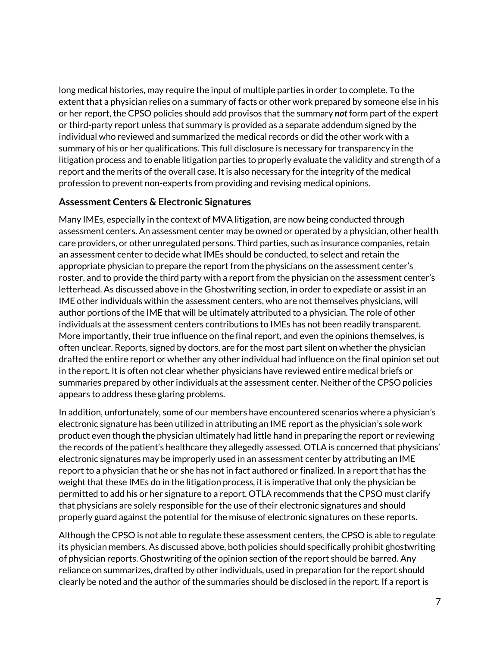long medical histories, may require the input of multiple parties in order to complete. To the extent that a physician relies on a summary of facts or other work prepared by someone else in his or her report, the CPSO policies should add provisos that the summary *not* form part of the expert or third-party report unless that summary is provided as a separate addendum signed by the individual who reviewed and summarized the medical records or did the other work with a summary of his or her qualifications. This full disclosure is necessary for transparency in the litigation process and to enable litigation parties to properly evaluate the validity and strength of a report and the merits of the overall case. It is also necessary for the integrity of the medical profession to prevent non-experts from providing and revising medical opinions.

#### **Assessment Centers & Electronic Signatures**

Many IMEs, especially in the context of MVA litigation, are now being conducted through assessment centers. An assessment center may be owned or operated by a physician, other health care providers, or other unregulated persons. Third parties, such as insurance companies, retain an assessment center to decide what IMEs should be conducted, to select and retain the appropriate physician to prepare the report from the physicians on the assessment center's roster, and to provide the third party with a report from the physician on the assessment center's letterhead. As discussed above in the Ghostwriting section, in order to expediate or assist in an IME other individuals within the assessment centers, who are not themselves physicians, will author portions of the IME that will be ultimately attributed to a physician. The role of other individuals at the assessment centers contributions to IMEs has not been readily transparent. More importantly, their true influence on the final report, and even the opinions themselves, is often unclear. Reports, signed by doctors, are for the most part silent on whether the physician drafted the entire report or whether any other individual had influence on the final opinion set out in the report. It is often not clear whether physicians have reviewed entire medical briefs or summaries prepared by other individuals at the assessment center. Neither of the CPSO policies appears to address these glaring problems.

In addition, unfortunately, some of our members have encountered scenarios where a physician's electronic signature has been utilized in attributing an IME report as the physician's sole work product even though the physician ultimately had little hand in preparing the report or reviewing the records of the patient's healthcare they allegedly assessed. OTLA is concerned that physicians' electronic signatures may be improperly used in an assessment center by attributing an IME report to a physician that he or she has not in fact authored or finalized. In a report that has the weight that these IMEs do in the litigation process, it is imperative that only the physician be permitted to add his or her signature to a report. OTLA recommends that the CPSO must clarify that physicians are solely responsible for the use of their electronic signatures and should properly guard against the potential for the misuse of electronic signatures on these reports.

Although the CPSO is not able to regulate these assessment centers, the CPSO is able to regulate its physician members. As discussed above, both policies should specifically prohibit ghostwriting of physician reports. Ghostwriting of the opinion section of the report should be barred. Any reliance on summarizes, drafted by other individuals, used in preparation for the report should clearly be noted and the author of the summaries should be disclosed in the report. If a report is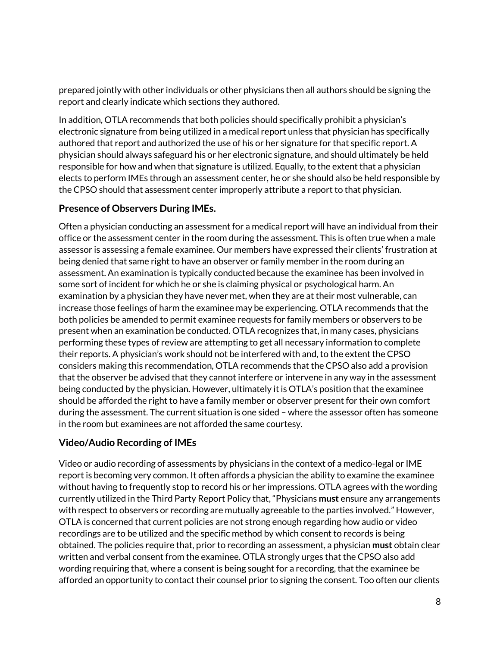prepared jointly with other individuals or other physicians then all authors should be signing the report and clearly indicate which sections they authored.

In addition, OTLA recommends that both policies should specifically prohibit a physician's electronic signature from being utilized in a medical report unless that physician has specifically authored that report and authorized the use of his or her signature for that specific report. A physician should always safeguard his or her electronic signature, and should ultimately be held responsible for how and when that signature is utilized. Equally, to the extent that a physician elects to perform IMEs through an assessment center, he or she should also be held responsible by the CPSO should that assessment center improperly attribute a report to that physician.

## **Presence of Observers During IMEs.**

Often a physician conducting an assessment for a medical report will have an individual from their office or the assessment center in the room during the assessment. This is often true when a male assessor is assessing a female examinee. Our members have expressed their clients' frustration at being denied that same right to have an observer or family member in the room during an assessment. An examination is typically conducted because the examinee has been involved in some sort of incident for which he or she is claiming physical or psychological harm. An examination by a physician they have never met, when they are at their most vulnerable, can increase those feelings of harm the examinee may be experiencing. OTLA recommends that the both policies be amended to permit examinee requests for family members or observers to be present when an examination be conducted. OTLA recognizes that, in many cases, physicians performing these types of review are attempting to get all necessary information to complete their reports. A physician's work should not be interfered with and, to the extent the CPSO considers making this recommendation, OTLA recommends that the CPSO also add a provision that the observer be advised that they cannot interfere or intervene in any way in the assessment being conducted by the physician. However, ultimately it is OTLA's position that the examinee should be afforded the right to have a family member or observer present for their own comfort during the assessment. The current situation is one sided – where the assessor often has someone in the room but examinees are not afforded the same courtesy.

# **Video/Audio Recording of IMEs**

Video or audio recording of assessments by physicians in the context of a medico-legal or IME report is becoming very common. It often affords a physician the ability to examine the examinee without having to frequently stop to record his or her impressions. OTLA agrees with the wording currently utilized in the Third Party Report Policy that, "Physicians **must** ensure any arrangements with respect to observers or recording are mutually agreeable to the parties involved." However, OTLA is concerned that current policies are not strong enough regarding how audio or video recordings are to be utilized and the specific method by which consent to records is being obtained. The policies require that, prior to recording an assessment, a physician **must** obtain clear written and verbal consent from the examinee. OTLA strongly urges that the CPSO also add wording requiring that, where a consent is being sought for a recording, that the examinee be afforded an opportunity to contact their counsel prior to signing the consent. Too often our clients